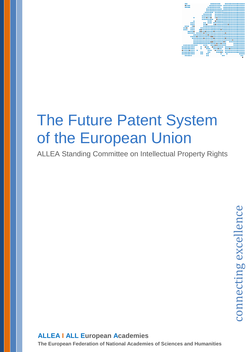

# The Future Patent System of the European Union

ALLEA Standing Committee on Intellectual Property Rights

# **ALLEA I ALL European Academies**

**The European Federation of National Academies of Sciences and Humanities**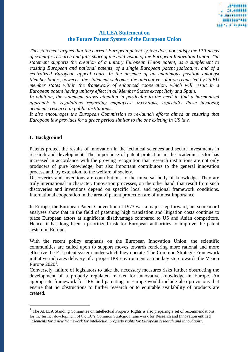

## **ALLEA Statement on the Future Patent System of the European Union**

*This statement argues that the current European patent system does not satisfy the IPR needs of scientific research and falls short of the bold vision of the European Innovation Union. The statement supports the creation of a unitary European Union patent, as a supplement to existing European and national patents, of a single European patent judicature, and of a centralized European appeal court. In the absence of an unanimous position amongst Member States, however, the statement welcomes the alternative solution requested by 25 EU member states within the framework of enhanced cooperation, which will result in a European patent having unitary effect in all Member States except Italy and Spain.* 

*In addition, the statement draws attention in particular to the need to find a harmonized approach to regulations regarding employees' inventions, especially those involving academic research in public institutions.*

*It also encourages the European Commission to re-launch efforts aimed at ensuring that European law provides for a grace period similar to the one existing in US law.*

#### **I. Background**

1

Patents protect the results of innovation in the technical sciences and secure investments in research and development. The importance of patent protection in the academic sector has increased in accordance with the growing recognition that research institutions are not only producers of pure knowledge, but also important contributors to the general innovation process and, by extension, to the welfare of society.

Discoveries and inventions are contributions to the universal body of knowledge. They are truly international in character. Innovation processes, on the other hand, that result from such discoveries and inventions depend on specific local and regional framework conditions. International cooperation in the area of patent protection are of utmost importance.

In Europe, the European Patent Convention of 1973 was a major step forward, but scoreboard analyses show that in the field of patenting high translation and litigation costs continue to place European actors at significant disadvantage compared to US and Asian competitors. Hence, it has long been a prioritized task for European authorities to improve the patent system in Europe.

With the recent policy emphasis on the European Innovation Union, the scientific communities are called upon to support moves towards rendering more rational and more effective the EU patent system under which they operate. The Common Strategic Framework initiative indicates delivery of a proper IPR environment as one key step towards the Vision Europe  $2020<sup>1</sup>$ .

Conversely, failure of legislators to take the necessary measures risks further obstructing the development of a properly regulated market for innovative knowledge in Europe. An appropriate framework for IPR and patenting in Europe would include also provisions that ensure that no obstructions to further research or to equitable availability of products are created.

<sup>1</sup> The ALLEA Standing Committee on Intellectual Property Rights is also preparing a set of recommendations for the further development of the EC's Common Strategic Framework for Research and Innovation entitled "*Elements for a new framework for intellectual property rights for European research and innovation*".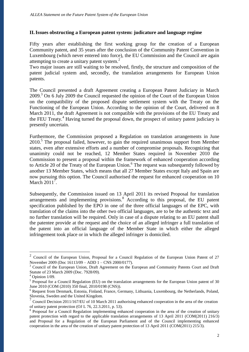#### **II.Issues obstructing a European patent system: judicature and language regime**

Fifty years after establishing the first working group for the creation of a European Community patent, and 35 years after the conclusion of the Community Patent Convention in Luxembourg (which never entered into force), the EU Commission and the Council are again attempting to create a unitary patent system. $<sup>2</sup>$ </sup>

Two major issues are still waiting to be resolved, firstly, the structure and composition of the patent judicial system and, secondly, the translation arrangements for European Union patents.

The Council presented a draft Agreement creating a European Patent Judiciary in March 2009.<sup>3</sup> On 6 July 2009 the Council requested the opinion of the Court of the European Union on the compatibility of the proposed dispute settlement system with the Treaty on the Functioning of the European Union. According to the opinion of the Court, delivered on 8 March 2011, the draft Agreement is not compatible with the provisions of the EU Treaty and the FEU Treaty.<sup>4</sup> Having turned the proposal down, the prospect of unitary patent judiciary is presently uncertain.

Furthermore, the Commission proposed a Regulation on translation arrangements in June 2010.<sup>5</sup> The proposal failed, however, to gain the required unanimous support from Member states, even after extensive efforts and a number of compromise proposals. Recognizing that unanimity could not be reached, 12 Member States required in November 2010 the Commission to present a proposal within the framework of enhanced cooperation according to Article 20 of the Treaty of the European Union.<sup>6</sup> The request was subsequently followed by another 13 Member States, which means that all 27 Member States except Italy and Spain are now pursuing this option. The Council authorised the request for enhanced cooperation on 10 March  $2011^7$ .

Subsequently, the Commission issued on 13 April 2011 its revised Proposal for translation arrangements and implementing provisions.<sup>8</sup> According to this proposal, the EU patent specification published by the EPO in one of the three official languages of the EPC, with translation of the claims into the other two official languages, are to be the authentic text and no further translation will be required. Only in case of a dispute relating to an EU patent shall the patentee provide at the request and the choice of an alleged infringer a full translation of the patent into an official language of the Member State in which either the alleged infringement took place or in which the alleged infringer is domiciled.

1

<sup>2</sup> Council of the European Union, Proposal for a Council Regulation of the European Union Patent of 27 November 2009 (Doc 16113/09 – ADD 1 – CNS 2000/0177).

<sup>&</sup>lt;sup>3</sup> Council of the European Union, Draft Agreement on the European and Community Patents Court and Draft Statute of 23 March 2009 (Doc. 7928/09).

Opinion 1/09.

<sup>&</sup>lt;sup>5</sup> Proposal for a Council Regulation (EU) on the translation arrangements for the European Union patent of 30 June 2010 (COM (2010) 350 final, 2010/0198 (CNS)).

<sup>&</sup>lt;sup>6</sup> Request from Denmark, Estonia, Finland, France, Germany, Lithuania, Luxembourg, the Netherlands, Poland, Slovenia, Sweden and the United Kingdom.

<sup>7</sup> Council Decision 2011/167/EU of 10 March 2011 authorising enhanced cooperation in the area of the creation of unitary patent protection (OJ L 76, 22.3.2011, p. 53).

<sup>&</sup>lt;sup>8</sup> Proposal for a Council Regulation implementing enhanced cooperation in the area of the creation of unitary patent protection with regard to the applicable translation arrangements of 13 April 2011 (COM(2011) 216/3) and Proposal for a Regulation of the European Parliament and of the Council implementing enhanced cooperation in the area of the creation of unitary patent protection of 13 April 2011 (COM(2011) 215/3).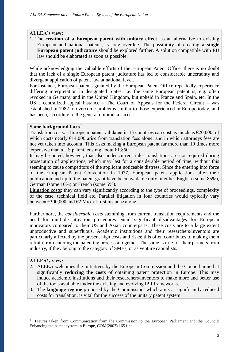#### **ALLEA's view:**

1. The **creation of a European patent with unitary effect**, as an alternative to existing European and national patents, is long overdue. The possibility of creating **a single European patent judicature** should be explored further. A solution compatible with EU law should be elaborated as soon as possible.

While acknowledging the valuable efforts of the European Patent Office, there is no doubt that the lack of a single European patent judicature has led to considerable uncertainty and divergent application of patent law at national level.

For instance, European patents granted by the European Patent Office repeatedly experience differing interpretation in designated States, i.e. the same European patent is, e.g. often revoked in Germany and in the United Kingdom, but upheld in France and Spain, etc. In the US a centralized appeal instance – The Court of Appeals for the Federal Circuit – was established in 1982 to overcome problems similar to those experienced in Europe today, and has been, according to the general opinion, a success.

#### **Some background facts<sup>9</sup>**

Translation costs: a European patent validated in 13 countries can cost as much as  $\epsilon$ 20,000, of which costs nearly  $E14,000$  arise from translation fees alone, and in which attorneys fees are not yet taken into account. This risks making a European patent far more than 10 times more expensive than a US patent, costing about  $\epsilon$ 1,850.

It may be noted, however, that also under current rules translations are not required during prosecution of applications, which may last for a considerable period of time, without this seeming to cause competitors of the applicant noticeable distress. Since the entering into force of the European Patent Convention in 1977, European patent applications after their publication and up to the patent grant have been available only in either English (some 85%), German (some 10%) or French (some 5%).

Litigation costs: they can vary significantly according to the type of proceedings, complexity of the case, technical field etc. Parallel litigation in four countries would typically vary between  $\epsilon$ 300,000 and  $\epsilon$ 2 Mio. at first instance alone.

Furthermore, the *considerable costs* stemming from current translation requirements and the need for multiple litigation procedures entail significant disadvantages for European innovators compared to their US and Asian counterparts. These costs are to a large extent unproductive and superfluous. Academic institutions and their researchers/inventors are particularly affected by the present high costs and risks; this often contributes to making them refrain from entering the patenting process altogether. The same is true for their partners from industry, if they belong to the category of SMEs, or as venture capitalists.

#### **ALLEA's view:**

<u>.</u>

- 2. ALLEA welcomes the initiatives by the European Commission and the Council aimed at significantly **reducing the costs** of obtaining patent protection in Europe. This may induce academic institutions and their researchers/inventors to make more and better use of the tools available under the existing and evolving IPR frameworks.
- 3. The **language regime** proposed by the Commission, which aims at significantly reduced costs for translation, is vital for the success of the unitary patent system.

<sup>9</sup> Figures taken from Communication from the Commission to the European Parliament and the Council: Enhancing the patent system in Europe, COM(2007) 165 final.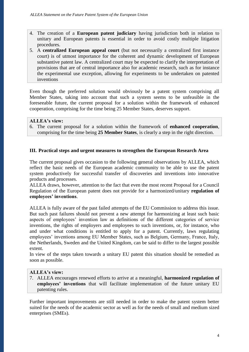- 4. The creation of a **European patent judiciary** having jurisdiction both in relation to unitary and European patents is essential in order to avoid costly multiple litigation procedures.
- 5. A **centralized European appeal court** (but not necessarily a centralized first instance court) is of utmost importance for the coherent and dynamic development of European substantive patent law. A centralized court may be expected to clarify the interpretation of provisions that are of central importance also for academic research, such as for instance the experimental use exception, allowing for experiments to be undertaken on patented inventions

Even though the preferred solution would obviously be a patent system comprising all Member States, taking into account that such a system seems to be unfeasible in the foreseeable future, the current proposal for a solution within the framework of enhanced cooperation, comprising for the time being 25 Member States, deserves support.

#### **ALLEA's view:**

6. The current proposal for a solution within the framework of **enhanced cooperation**, comprising for the time being **25 Member States**, is clearly a step in the right direction.

#### **III. Practical steps and urgent measures to strengthen the European Research Area**

The current proposal gives occasion to the following general observations by ALLEA, which reflect the basic needs of the European academic community to be able to use the patent system productively for successful transfer of discoveries and inventions into innovative products and processes.

ALLEA draws, however, attention to the fact that even the most recent Proposal for a Council Regulation of the European patent does not provide for a harmonized/unitary **regulation of employees' inventions**.

ALLEA is fully aware of the past failed attempts of the EU Commission to address this issue. But such past failures should not prevent a new attempt for harmonizing at least such basic aspects of employees' invention law as definitions of the different categories of service inventions, the rights of employers and employees to such inventions, or, for instance, who and under what conditions is entitled to apply for a patent. Currently, laws regulating employees' inventions among EU Member States, such as Belgium, Germany, France, Italy, the Netherlands, Sweden and the United Kingdom, can be said to differ to the largest possible extent.

In view of the steps taken towards a unitary EU patent this situation should be remedied as soon as possible.

#### **ALLEA's view:**

7. ALLEA encourages renewed efforts to arrive at a meaningful, **harmonized regulation of employees' inventions** that will facilitate implementation of the future unitary EU patenting rules.

Further important improvements are still needed in order to make the patent system better suited for the needs of the academic sector as well as for the needs of small and medium sized enterprises (SMEs).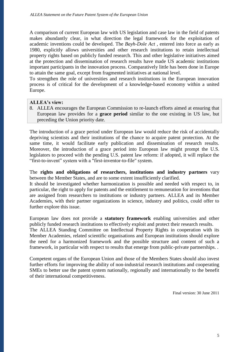A comparison of current European law with US legislation and case law in the field of patents makes abundantly clear, in what direction the legal framework for the exploitation of academic inventions could be developed. The *Bayh-Dole Act* , entered into force as early as 1980, explicitly allows universities and other research institutions to retain intellectual property rights based on publicly funded research. This and other legislative initiatives aimed at the protection and dissemination of research results have made US academic institutions important participants in the innovation process. Comparatively little has been done in Europe to attain the same goal, except from fragmented initiatives at national level.

To strengthen the role of universities and research institutions in the European innovation process is of critical for the development of a knowledge-based economy within a united Europe.

#### **ALLEA's view:**

8. ALLEA encourages the European Commission to re-launch efforts aimed at ensuring that European law provides for a **grace period** similar to the one existing in US law, but preceding the Union priority date.

The introduction of a grace period under European law would reduce the risk of accidentally depriving scientists and their institutions of the chance to acquire patent protection. At the same time, it would facilitate early publication and dissemination of research results. Moreover, the introduction of a grace period into European law might prompt the U.S. legislators to proceed with the pending U.S. patent law reform: if adopted, it will replace the "first-to-invent" system with a "first-inventor-to-file" system.

The **rights and obligations of researchers, institutions and industry partners** vary between the Member States, and are to some extent insufficiently clarified.

It should be investigated whether harmonization is possible and needed with respect to, in particular, the right to apply for patents and the entitlement to remuneration for inventions that are assigned from researchers to institutions or industry partners. ALLEA and its Member Academies, with their partner organizations in science, industry and politics, could offer to further explore this issue.

European law does not provide a **statutory framework** enabling universities and other publicly funded research institutions to effectively exploit and protect their research results.

The ALLEA Standing Committee on Intellectual Property Rights in cooperation with its Member Academies, related scientific organisations and European institutions should explore the need for a harmonized framework and the possible structure and content of such a framework, in particular with respect to results that emerge from public-private partnerships. .

Competent organs of the European Union and those of the Members States should also invest further efforts for improving the ability of non-industrial research institutions and cooperating SMEs to better use the patent system nationally, regionally and internationally to the benefit of their international competitiveness.

Final version: 30 June 2011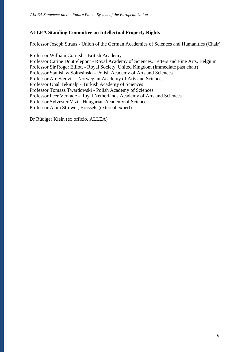## **ALLEA Standing Committee on Intellectual Property Rights**

Professor Joseph Straus - Union of the German Academies of Sciences and Humanities (Chair)

Professor William Cornish - British Academy Professor Carine Doutrelepont - Royal Academy of Sciences, Letters and Fine Arts, Belgium Professor Sir Roger Elliott - Royal Society, United Kingdom (immediate past chair) Professor Stanislaw Soltysinski - Polish Academy of Arts and Sciences Professor Are Stenvik - Norwegian Academy of Arts and Sciences Professor Ünal Tekinalp - Turkish Academy of Sciences Professor Tomasz Twardowski - Polish Academy of Sciences Professor Feer Verkade - Royal Netherlands Academy of Arts and Sciences Professor Sylvester Vizi - Hungarian Academy of Sciences Professor Alain Strowel, Brussels (external expert)

Dr Rüdiger Klein (ex officio, ALLEA)